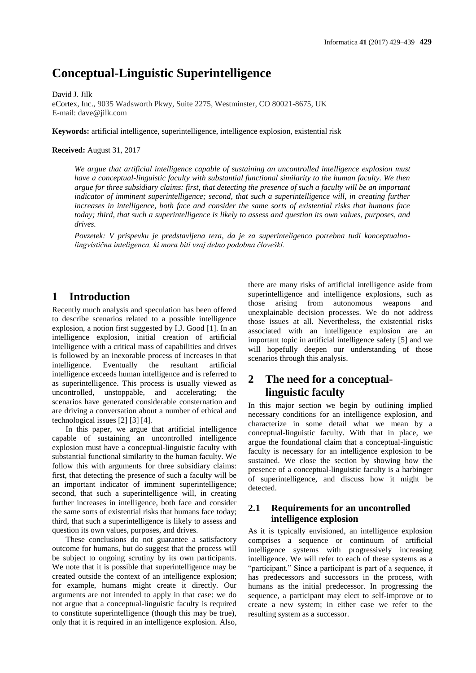# **Conceptual-Linguistic Superintelligence**

David J. Jilk eCortex, Inc., 9035 Wadsworth Pkwy, Suite 2275, Westminster, CO 80021-8675, UK E-mail: dave@jilk.com

**Keywords:** artificial intelligence, superintelligence, intelligence explosion, existential risk

#### **Received:** August 31, 2017

*We argue that artificial intelligence capable of sustaining an uncontrolled intelligence explosion must have a conceptual-linguistic faculty with substantial functional similarity to the human faculty. We then argue for three subsidiary claims: first, that detecting the presence of such a faculty will be an important indicator of imminent superintelligence; second, that such a superintelligence will, in creating further increases in intelligence, both face and consider the same sorts of existential risks that humans face today; third, that such a superintelligence is likely to assess and question its own values, purposes, and drives.*

*Povzetek: V prispevku je predstavljena teza, da je za superinteligenco potrebna tudi konceptualnolingvistična inteligenca, ki mora biti vsaj delno podobna človeški.*

### **1 Introduction**

Recently much analysis and speculation has been offered to describe scenarios related to a possible intelligence explosion, a notion first suggested by I.J. Good [1]. In an intelligence explosion, initial creation of artificial intelligence with a critical mass of capabilities and drives is followed by an inexorable process of increases in that intelligence. Eventually the resultant artificial intelligence exceeds human intelligence and is referred to as superintelligence. This process is usually viewed as uncontrolled, unstoppable, and accelerating; the scenarios have generated considerable consternation and are driving a conversation about a number of ethical and technological issues [2] [3] [4].

In this paper, we argue that artificial intelligence capable of sustaining an uncontrolled intelligence explosion must have a conceptual-linguistic faculty with substantial functional similarity to the human faculty. We follow this with arguments for three subsidiary claims: first, that detecting the presence of such a faculty will be an important indicator of imminent superintelligence; second, that such a superintelligence will, in creating further increases in intelligence, both face and consider the same sorts of existential risks that humans face today; third, that such a superintelligence is likely to assess and question its own values, purposes, and drives.

These conclusions do not guarantee a satisfactory outcome for humans, but do suggest that the process will be subject to ongoing scrutiny by its own participants. We note that it is possible that superintelligence may be created outside the context of an intelligence explosion; for example, humans might create it directly. Our arguments are not intended to apply in that case: we do not argue that a conceptual-linguistic faculty is required to constitute superintelligence (though this may be true), only that it is required in an intelligence explosion. Also, there are many risks of artificial intelligence aside from superintelligence and intelligence explosions, such as those arising from autonomous weapons and unexplainable decision processes. We do not address those issues at all. Nevertheless, the existential risks associated with an intelligence explosion are an important topic in artificial intelligence safety [5] and we will hopefully deepen our understanding of those scenarios through this analysis.

### **2 The need for a conceptuallinguistic faculty**

In this major section we begin by outlining implied necessary conditions for an intelligence explosion, and characterize in some detail what we mean by a conceptual-linguistic faculty. With that in place, we argue the foundational claim that a conceptual-linguistic faculty is necessary for an intelligence explosion to be sustained. We close the section by showing how the presence of a conceptual-linguistic faculty is a harbinger of superintelligence, and discuss how it might be detected.

### **2.1 Requirements for an uncontrolled intelligence explosion**

As it is typically envisioned, an intelligence explosion comprises a sequence or continuum of artificial intelligence systems with progressively increasing intelligence. We will refer to each of these systems as a "participant." Since a participant is part of a sequence, it has predecessors and successors in the process, with humans as the initial predecessor. In progressing the sequence, a participant may elect to self-improve or to create a new system; in either case we refer to the resulting system as a successor.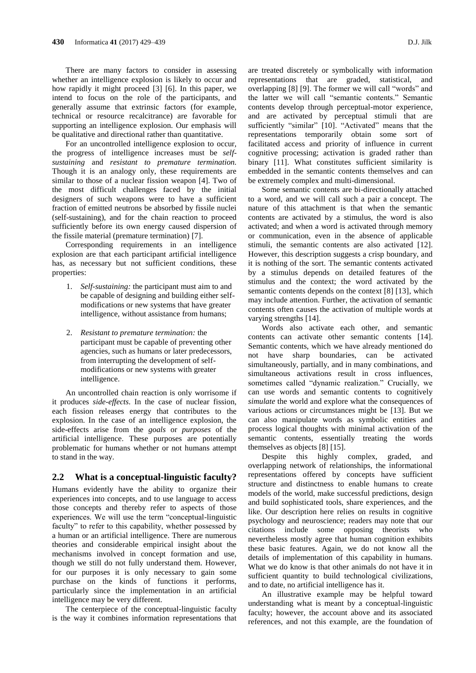There are many factors to consider in assessing whether an intelligence explosion is likely to occur and how rapidly it might proceed [3] [6]. In this paper, we intend to focus on the role of the participants, and generally assume that extrinsic factors (for example, technical or resource recalcitrance) are favorable for supporting an intelligence explosion. Our emphasis will be qualitative and directional rather than quantitative.

For an uncontrolled intelligence explosion to occur, the progress of intelligence increases must be *selfsustaining* and *resistant to premature termination.* Though it is an analogy only, these requirements are similar to those of a nuclear fission weapon [4]. Two of the most difficult challenges faced by the initial designers of such weapons were to have a sufficient fraction of emitted neutrons be absorbed by fissile nuclei (self-sustaining), and for the chain reaction to proceed sufficiently before its own energy caused dispersion of the fissile material (premature termination) [7].

Corresponding requirements in an intelligence explosion are that each participant artificial intelligence has, as necessary but not sufficient conditions, these properties:

- 1. *Self-sustaining:* the participant must aim to and be capable of designing and building either selfmodifications or new systems that have greater intelligence, without assistance from humans;
- 2. *Resistant to premature termination:* the participant must be capable of preventing other agencies, such as humans or later predecessors, from interrupting the development of selfmodifications or new systems with greater intelligence.

An uncontrolled chain reaction is only worrisome if it produces *side-effects*. In the case of nuclear fission, each fission releases energy that contributes to the explosion. In the case of an intelligence explosion, the side-effects arise from the *goals* or *purposes* of the artificial intelligence. These purposes are potentially problematic for humans whether or not humans attempt to stand in the way.

#### **2.2 What is a conceptual-linguistic faculty?**

Humans evidently have the ability to organize their experiences into concepts, and to use language to access those concepts and thereby refer to aspects of those experiences. We will use the term "conceptual-linguistic faculty" to refer to this capability, whether possessed by a human or an artificial intelligence. There are numerous theories and considerable empirical insight about the mechanisms involved in concept formation and use, though we still do not fully understand them. However, for our purposes it is only necessary to gain some purchase on the kinds of functions it performs, particularly since the implementation in an artificial intelligence may be very different.

The centerpiece of the conceptual-linguistic faculty is the way it combines information representations that are treated discretely or symbolically with information representations that are graded, statistical, and overlapping [8] [9]. The former we will call "words" and the latter we will call "semantic contents." Semantic contents develop through perceptual-motor experience, and are activated by perceptual stimuli that are sufficiently "similar" [10]. "Activated" means that the representations temporarily obtain some sort of facilitated access and priority of influence in current cognitive processing; activation is graded rather than binary [11]. What constitutes sufficient similarity is embedded in the semantic contents themselves and can be extremely complex and multi-dimensional.

Some semantic contents are bi-directionally attached to a word, and we will call such a pair a concept. The nature of this attachment is that when the semantic contents are activated by a stimulus, the word is also activated; and when a word is activated through memory or communication, even in the absence of applicable stimuli, the semantic contents are also activated [12]. However, this description suggests a crisp boundary, and it is nothing of the sort. The semantic contents activated by a stimulus depends on detailed features of the stimulus and the context; the word activated by the semantic contents depends on the context [8] [13], which may include attention. Further, the activation of semantic contents often causes the activation of multiple words at varying strengths [14].

Words also activate each other, and semantic contents can activate other semantic contents [14]. Semantic contents, which we have already mentioned do not have sharp boundaries, can be activated simultaneously, partially, and in many combinations, and simultaneous activations result in cross influences, sometimes called "dynamic realization." Crucially, we can use words and semantic contents to cognitively *simulate* the world and explore what the consequences of various actions or circumstances might be [13]. But we can also manipulate words as symbolic entities and process logical thoughts with minimal activation of the semantic contents, essentially treating the words themselves as objects [8] [15].

Despite this highly complex, graded, and overlapping network of relationships, the informational representations offered by concepts have sufficient structure and distinctness to enable humans to create models of the world, make successful predictions, design and build sophisticated tools, share experiences, and the like. Our description here relies on results in cognitive psychology and neuroscience; readers may note that our citations include some opposing theorists who nevertheless mostly agree that human cognition exhibits these basic features. Again, we do not know all the details of implementation of this capability in humans. What we do know is that other animals do not have it in sufficient quantity to build technological civilizations, and to date, no artificial intelligence has it.

An illustrative example may be helpful toward understanding what is meant by a conceptual-linguistic faculty; however, the account above and its associated references, and not this example, are the foundation of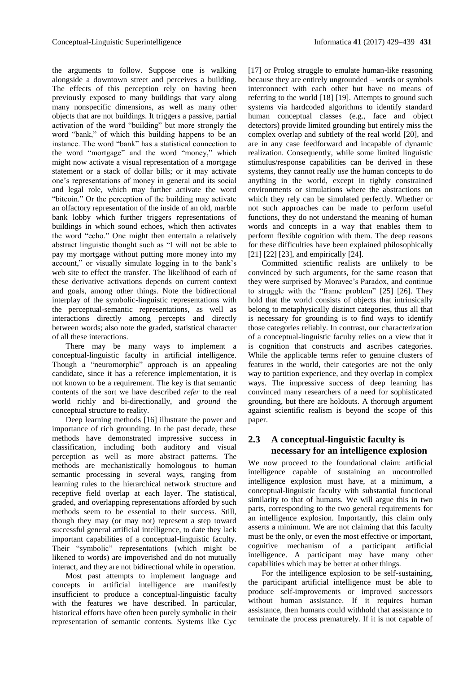the arguments to follow. Suppose one is walking alongside a downtown street and perceives a building. The effects of this perception rely on having been previously exposed to many buildings that vary along many nonspecific dimensions, as well as many other objects that are not buildings. It triggers a passive, partial activation of the word "building" but more strongly the word "bank," of which this building happens to be an instance. The word "bank" has a statistical connection to the word "mortgage" and the word "money," which might now activate a visual representation of a mortgage statement or a stack of dollar bills; or it may activate one's representations of money in general and its social and legal role, which may further activate the word "bitcoin." Or the perception of the building may activate an olfactory representation of the inside of an old, marble bank lobby which further triggers representations of buildings in which sound echoes, which then activates the word "echo." One might then entertain a relatively abstract linguistic thought such as "I will not be able to pay my mortgage without putting more money into my account," or visually simulate logging in to the bank's web site to effect the transfer. The likelihood of each of these derivative activations depends on current context and goals, among other things. Note the bidirectional interplay of the symbolic-linguistic representations with the perceptual-semantic representations, as well as interactions directly among percepts and directly between words; also note the graded, statistical character of all these interactions.

There may be many ways to implement a conceptual-linguistic faculty in artificial intelligence. Though a "neuromorphic" approach is an appealing candidate, since it has a reference implementation, it is not known to be a requirement. The key is that semantic contents of the sort we have described *refer* to the real world richly and bi-directionally, and *ground* the conceptual structure to reality.

Deep learning methods [16] illustrate the power and importance of rich grounding. In the past decade, these methods have demonstrated impressive success in classification, including both auditory and visual perception as well as more abstract patterns. The methods are mechanistically homologous to human semantic processing in several ways, ranging from learning rules to the hierarchical network structure and receptive field overlap at each layer. The statistical, graded, and overlapping representations afforded by such methods seem to be essential to their success. Still, though they may (or may not) represent a step toward successful general artificial intelligence, to date they lack important capabilities of a conceptual-linguistic faculty. Their "symbolic" representations (which might be likened to words) are impoverished and do not mutually interact, and they are not bidirectional while in operation.

Most past attempts to implement language and concepts in artificial intelligence are manifestly insufficient to produce a conceptual-linguistic faculty with the features we have described. In particular, historical efforts have often been purely symbolic in their representation of semantic contents. Systems like Cyc

[17] or Prolog struggle to emulate human-like reasoning because they are entirely ungrounded – words or symbols interconnect with each other but have no means of referring to the world [18] [19]. Attempts to ground such systems via hardcoded algorithms to identify standard human conceptual classes (e.g., face and object detectors) provide limited grounding but entirely miss the complex overlap and subtlety of the real world [20], and are in any case feedforward and incapable of dynamic realization. Consequently, while some limited linguistic stimulus/response capabilities can be derived in these systems, they cannot really *use* the human concepts to do anything in the world, except in tightly constrained environments or simulations where the abstractions on which they rely can be simulated perfectly. Whether or not such approaches can be made to perform useful functions, they do not understand the meaning of human words and concepts in a way that enables them to perform flexible cognition with them. The deep reasons for these difficulties have been explained philosophically [21] [22] [23], and empirically [24].

Committed scientific realists are unlikely to be convinced by such arguments, for the same reason that they were surprised by Moravec's Paradox, and continue to struggle with the "frame problem" [25] [26]. They hold that the world consists of objects that intrinsically belong to metaphysically distinct categories, thus all that is necessary for grounding is to find ways to identify those categories reliably. In contrast, our characterization of a conceptual-linguistic faculty relies on a view that it is cognition that constructs and ascribes categories. While the applicable terms refer to genuine clusters of features in the world, their categories are not the only way to partition experience, and they overlap in complex ways. The impressive success of deep learning has convinced many researchers of a need for sophisticated grounding, but there are holdouts. A thorough argument against scientific realism is beyond the scope of this paper.

### **2.3 A conceptual-linguistic faculty is necessary for an intelligence explosion**

We now proceed to the foundational claim: artificial intelligence capable of sustaining an uncontrolled intelligence explosion must have, at a minimum, a conceptual-linguistic faculty with substantial functional similarity to that of humans. We will argue this in two parts, corresponding to the two general requirements for an intelligence explosion. Importantly, this claim only asserts a minimum. We are not claiming that this faculty must be the only, or even the most effective or important, cognitive mechanism of a participant artificial intelligence. A participant may have many other capabilities which may be better at other things.

For the intelligence explosion to be self-sustaining, the participant artificial intelligence must be able to produce self-improvements or improved successors without human assistance. If it requires human assistance, then humans could withhold that assistance to terminate the process prematurely. If it is not capable of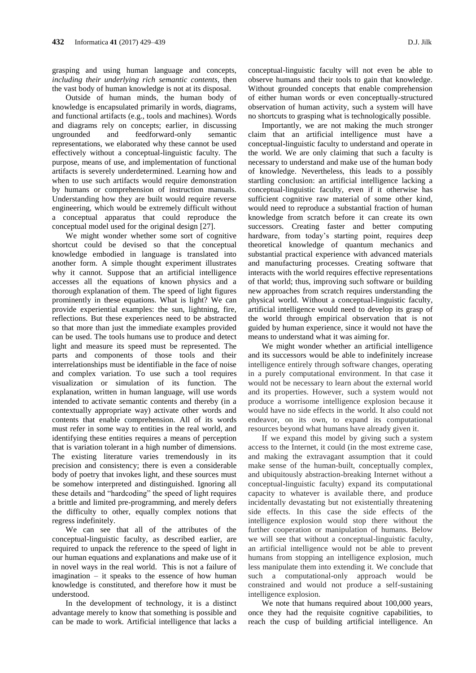grasping and using human language and concepts, *including their underlying rich semantic contents*, then the vast body of human knowledge is not at its disposal.

Outside of human minds, the human body of knowledge is encapsulated primarily in words, diagrams, and functional artifacts (e.g., tools and machines). Words and diagrams rely on concepts; earlier, in discussing ungrounded and feedforward-only semantic representations, we elaborated why these cannot be used effectively without a conceptual-linguistic faculty. The purpose, means of use, and implementation of functional artifacts is severely underdetermined. Learning how and when to use such artifacts would require demonstration by humans or comprehension of instruction manuals. Understanding how they are built would require reverse engineering, which would be extremely difficult without a conceptual apparatus that could reproduce the conceptual model used for the original design [27].

We might wonder whether some sort of cognitive shortcut could be devised so that the conceptual knowledge embodied in language is translated into another form. A simple thought experiment illustrates why it cannot. Suppose that an artificial intelligence accesses all the equations of known physics and a thorough explanation of them. The speed of light figures prominently in these equations. What is light? We can provide experiential examples: the sun, lightning, fire, reflections. But these experiences need to be abstracted so that more than just the immediate examples provided can be used. The tools humans use to produce and detect light and measure its speed must be represented. The parts and components of those tools and their interrelationships must be identifiable in the face of noise and complex variation. To use such a tool requires visualization or simulation of its function. The explanation, written in human language, will use words intended to activate semantic contents and thereby (in a contextually appropriate way) activate other words and contents that enable comprehension. All of its words must refer in some way to entities in the real world, and identifying these entities requires a means of perception that is variation tolerant in a high number of dimensions. The existing literature varies tremendously in its precision and consistency; there is even a considerable body of poetry that invokes light, and these sources must be somehow interpreted and distinguished. Ignoring all these details and "hardcoding" the speed of light requires a brittle and limited pre-programming, and merely defers the difficulty to other, equally complex notions that regress indefinitely.

We can see that all of the attributes of the conceptual-linguistic faculty, as described earlier, are required to unpack the reference to the speed of light in our human equations and explanations and make use of it in novel ways in the real world. This is not a failure of imagination – it speaks to the essence of how human knowledge is constituted, and therefore how it must be understood.

In the development of technology, it is a distinct advantage merely to know that something is possible and can be made to work. Artificial intelligence that lacks a

conceptual-linguistic faculty will not even be able to observe humans and their tools to gain that knowledge. Without grounded concepts that enable comprehension of either human words or even conceptually-structured observation of human activity, such a system will have no shortcuts to grasping what is technologically possible.

Importantly, we are not making the much stronger claim that an artificial intelligence must have a conceptual-linguistic faculty to understand and operate in the world. We are only claiming that such a faculty is necessary to understand and make use of the human body of knowledge. Nevertheless, this leads to a possibly startling conclusion: an artificial intelligence lacking a conceptual-linguistic faculty, even if it otherwise has sufficient cognitive raw material of some other kind, would need to reproduce a substantial fraction of human knowledge from scratch before it can create its own successors. Creating faster and better computing hardware, from today's starting point, requires deep theoretical knowledge of quantum mechanics and substantial practical experience with advanced materials and manufacturing processes. Creating software that interacts with the world requires effective representations of that world; thus, improving such software or building new approaches from scratch requires understanding the physical world. Without a conceptual-linguistic faculty, artificial intelligence would need to develop its grasp of the world through empirical observation that is not guided by human experience, since it would not have the means to understand what it was aiming for.

We might wonder whether an artificial intelligence and its successors would be able to indefinitely increase intelligence entirely through software changes, operating in a purely computational environment. In that case it would not be necessary to learn about the external world and its properties. However, such a system would not produce a worrisome intelligence explosion because it would have no side effects in the world. It also could not endeavor, on its own, to expand its computational resources beyond what humans have already given it.

If we expand this model by giving such a system access to the Internet, it could (in the most extreme case, and making the extravagant assumption that it could make sense of the human-built, conceptually complex, and ubiquitously abstraction-breaking Internet without a conceptual-linguistic faculty) expand its computational capacity to whatever is available there, and produce incidentally devastating but not existentially threatening side effects. In this case the side effects of the intelligence explosion would stop there without the further cooperation or manipulation of humans. Below we will see that without a conceptual-linguistic faculty, an artificial intelligence would not be able to prevent humans from stopping an intelligence explosion, much less manipulate them into extending it. We conclude that such a computational-only approach would be constrained and would not produce a self-sustaining intelligence explosion.

We note that humans required about 100,000 years, once they had the requisite cognitive capabilities, to reach the cusp of building artificial intelligence. An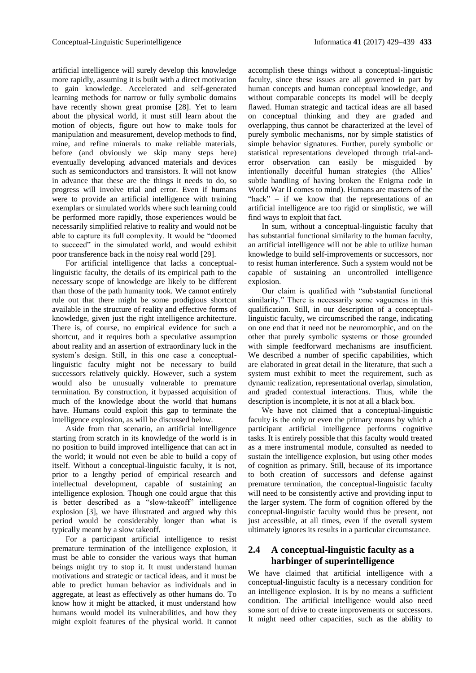artificial intelligence will surely develop this knowledge more rapidly, assuming it is built with a direct motivation to gain knowledge. Accelerated and self-generated learning methods for narrow or fully symbolic domains have recently shown great promise [28]. Yet to learn about the physical world, it must still learn about the motion of objects, figure out how to make tools for manipulation and measurement, develop methods to find, mine, and refine minerals to make reliable materials, before (and obviously we skip many steps here) eventually developing advanced materials and devices such as semiconductors and transistors. It will not know in advance that these are the things it needs to do, so progress will involve trial and error. Even if humans were to provide an artificial intelligence with training exemplars or simulated worlds where such learning could be performed more rapidly, those experiences would be necessarily simplified relative to reality and would not be able to capture its full complexity. It would be "doomed to succeed" in the simulated world, and would exhibit poor transference back in the noisy real world [29].

For artificial intelligence that lacks a conceptuallinguistic faculty, the details of its empirical path to the necessary scope of knowledge are likely to be different than those of the path humanity took. We cannot entirely rule out that there might be some prodigious shortcut available in the structure of reality and effective forms of knowledge, given just the right intelligence architecture. There is, of course, no empirical evidence for such a shortcut, and it requires both a speculative assumption about reality and an assertion of extraordinary luck in the system's design. Still, in this one case a conceptuallinguistic faculty might not be necessary to build successors relatively quickly. However, such a system would also be unusually vulnerable to premature termination. By construction, it bypassed acquisition of much of the knowledge about the world that humans have. Humans could exploit this gap to terminate the intelligence explosion, as will be discussed below.

Aside from that scenario, an artificial intelligence starting from scratch in its knowledge of the world is in no position to build improved intelligence that can act in the world; it would not even be able to build a copy of itself. Without a conceptual-linguistic faculty, it is not, prior to a lengthy period of empirical research and intellectual development, capable of sustaining an intelligence explosion. Though one could argue that this is better described as a "slow-takeoff" intelligence explosion [3], we have illustrated and argued why this period would be considerably longer than what is typically meant by a slow takeoff.

For a participant artificial intelligence to resist premature termination of the intelligence explosion, it must be able to consider the various ways that human beings might try to stop it. It must understand human motivations and strategic or tactical ideas, and it must be able to predict human behavior as individuals and in aggregate, at least as effectively as other humans do. To know how it might be attacked, it must understand how humans would model its vulnerabilities, and how they might exploit features of the physical world. It cannot

accomplish these things without a conceptual-linguistic faculty, since these issues are all governed in part by human concepts and human conceptual knowledge, and without comparable concepts its model will be deeply flawed. Human strategic and tactical ideas are all based on conceptual thinking and they are graded and overlapping, thus cannot be characterized at the level of purely symbolic mechanisms, nor by simple statistics of simple behavior signatures. Further, purely symbolic or statistical representations developed through trial-anderror observation can easily be misguided by intentionally deceitful human strategies (the Allies' subtle handling of having broken the Enigma code in World War II comes to mind). Humans are masters of the "hack" – if we know that the representations of an artificial intelligence are too rigid or simplistic, we will find ways to exploit that fact.

In sum, without a conceptual-linguistic faculty that has substantial functional similarity to the human faculty, an artificial intelligence will not be able to utilize human knowledge to build self-improvements or successors, nor to resist human interference. Such a system would not be capable of sustaining an uncontrolled intelligence explosion.

Our claim is qualified with "substantial functional similarity." There is necessarily some vagueness in this qualification. Still, in our description of a conceptuallinguistic faculty, we circumscribed the range, indicating on one end that it need not be neuromorphic, and on the other that purely symbolic systems or those grounded with simple feedforward mechanisms are insufficient. We described a number of specific capabilities, which are elaborated in great detail in the literature, that such a system must exhibit to meet the requirement, such as dynamic realization, representational overlap, simulation, and graded contextual interactions. Thus, while the description is incomplete, it is not at all a black box.

We have not claimed that a conceptual-linguistic faculty is the only or even the primary means by which a participant artificial intelligence performs cognitive tasks. It is entirely possible that this faculty would treated as a mere instrumental module, consulted as needed to sustain the intelligence explosion, but using other modes of cognition as primary. Still, because of its importance to both creation of successors and defense against premature termination, the conceptual-linguistic faculty will need to be consistently active and providing input to the larger system. The form of cognition offered by the conceptual-linguistic faculty would thus be present, not just accessible, at all times, even if the overall system ultimately ignores its results in a particular circumstance.

### **2.4 A conceptual-linguistic faculty as a harbinger of superintelligence**

We have claimed that artificial intelligence with a conceptual-linguistic faculty is a necessary condition for an intelligence explosion. It is by no means a sufficient condition. The artificial intelligence would also need some sort of drive to create improvements or successors. It might need other capacities, such as the ability to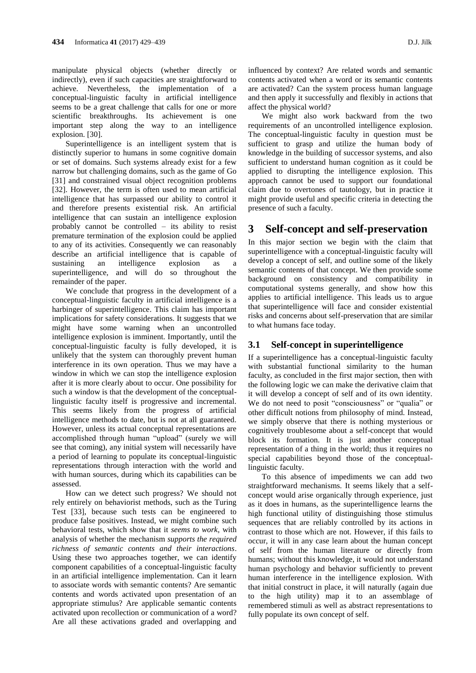manipulate physical objects (whether directly or indirectly), even if such capacities are straightforward to achieve. Nevertheless, the implementation of a conceptual-linguistic faculty in artificial intelligence seems to be a great challenge that calls for one or more scientific breakthroughs. Its achievement is one important step along the way to an intelligence explosion. [30].

Superintelligence is an intelligent system that is distinctly superior to humans in some cognitive domain or set of domains. Such systems already exist for a few narrow but challenging domains, such as the game of Go [31] and constrained visual object recognition problems [32]. However, the term is often used to mean artificial intelligence that has surpassed our ability to control it and therefore presents existential risk. An artificial intelligence that can sustain an intelligence explosion probably cannot be controlled – its ability to resist premature termination of the explosion could be applied to any of its activities. Consequently we can reasonably describe an artificial intelligence that is capable of sustaining an intelligence explosion as a superintelligence, and will do so throughout the remainder of the paper.

We conclude that progress in the development of a conceptual-linguistic faculty in artificial intelligence is a harbinger of superintelligence. This claim has important implications for safety considerations. It suggests that we might have some warning when an uncontrolled intelligence explosion is imminent. Importantly, until the conceptual-linguistic faculty is fully developed, it is unlikely that the system can thoroughly prevent human interference in its own operation. Thus we may have a window in which we can stop the intelligence explosion after it is more clearly about to occur. One possibility for such a window is that the development of the conceptuallinguistic faculty itself is progressive and incremental. This seems likely from the progress of artificial intelligence methods to date, but is not at all guaranteed. However, unless its actual conceptual representations are accomplished through human "upload" (surely we will see that coming), any initial system will necessarily have a period of learning to populate its conceptual-linguistic representations through interaction with the world and with human sources, during which its capabilities can be assessed.

How can we detect such progress? We should not rely entirely on behaviorist methods, such as the Turing Test [33], because such tests can be engineered to produce false positives. Instead, we might combine such behavioral tests, which show that it *seems to work*, with analysis of whether the mechanism *supports the required richness of semantic contents and their interactions*. Using these two approaches together, we can identify component capabilities of a conceptual-linguistic faculty in an artificial intelligence implementation. Can it learn to associate words with semantic contents? Are semantic contents and words activated upon presentation of an appropriate stimulus? Are applicable semantic contents activated upon recollection or communication of a word? Are all these activations graded and overlapping and

influenced by context? Are related words and semantic contents activated when a word or its semantic contents are activated? Can the system process human language and then apply it successfully and flexibly in actions that affect the physical world?

We might also work backward from the two requirements of an uncontrolled intelligence explosion. The conceptual-linguistic faculty in question must be sufficient to grasp and utilize the human body of knowledge in the building of successor systems, and also sufficient to understand human cognition as it could be applied to disrupting the intelligence explosion. This approach cannot be used to support our foundational claim due to overtones of tautology, but in practice it might provide useful and specific criteria in detecting the presence of such a faculty.

### **3 Self-concept and self-preservation**

In this major section we begin with the claim that superintelligence with a conceptual-linguistic faculty will develop a concept of self, and outline some of the likely semantic contents of that concept. We then provide some background on consistency and compatibility in computational systems generally, and show how this applies to artificial intelligence. This leads us to argue that superintelligence will face and consider existential risks and concerns about self-preservation that are similar to what humans face today.

### **3.1 Self-concept in superintelligence**

If a superintelligence has a conceptual-linguistic faculty with substantial functional similarity to the human faculty, as concluded in the first major section, then with the following logic we can make the derivative claim that it will develop a concept of self and of its own identity. We do not need to posit "consciousness" or "qualia" or other difficult notions from philosophy of mind. Instead, we simply observe that there is nothing mysterious or cognitively troublesome about a self-concept that would block its formation. It is just another conceptual representation of a thing in the world; thus it requires no special capabilities beyond those of the conceptuallinguistic faculty.

To this absence of impediments we can add two straightforward mechanisms. It seems likely that a selfconcept would arise organically through experience, just as it does in humans, as the superintelligence learns the high functional utility of distinguishing those stimulus sequences that are reliably controlled by its actions in contrast to those which are not. However, if this fails to occur, it will in any case learn about the human concept of self from the human literature or directly from humans; without this knowledge, it would not understand human psychology and behavior sufficiently to prevent human interference in the intelligence explosion. With that initial construct in place, it will naturally (again due to the high utility) map it to an assemblage of remembered stimuli as well as abstract representations to fully populate its own concept of self.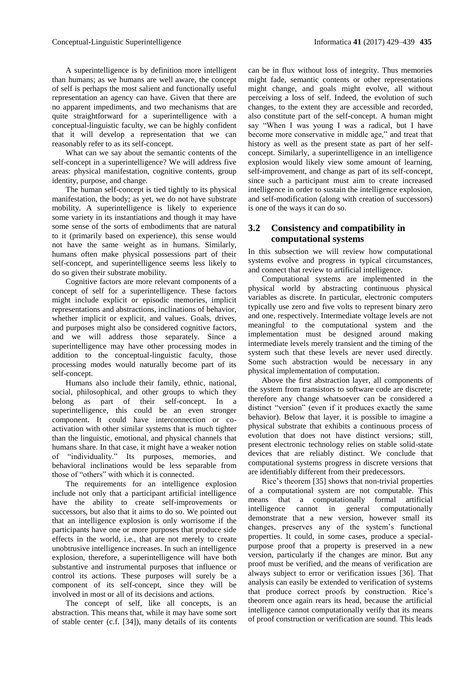A superintelligence is by definition more intelligent than humans; as we humans are well aware, the concept of self is perhaps the most salient and functionally useful representation an agency can have. Given that there are no apparent impediments, and two mechanisms that are quite straightforward for a superintelligence with a conceptual-linguistic faculty, we can be highly confident that it will develop a representation that we can reasonably refer to as its self-concept.

What can we say about the semantic contents of the self-concept in a superintelligence? We will address five areas: physical manifestation, cognitive contents, group identity, purpose, and change.

The human self-concept is tied tightly to its physical manifestation, the body; as yet, we do not have substrate mobility. A superintelligence is likely to experience some variety in its instantiations and though it may have some sense of the sorts of embodiments that are natural to it (primarily based on experience), this sense would not have the same weight as in humans. Similarly, humans often make physical possessions part of their self-concept, and superintelligence seems less likely to do so given their substrate mobility.

Cognitive factors are more relevant components of a concept of self for a superintelligence. These factors might include explicit or episodic memories, implicit representations and abstractions, inclinations of behavior, whether implicit or explicit, and values. Goals, drives, and purposes might also be considered cognitive factors, and we will address those separately. Since a superintelligence may have other processing modes in addition to the conceptual-linguistic faculty, those processing modes would naturally become part of its self-concept.

Humans also include their family, ethnic, national, social, philosophical, and other groups to which they belong as part of their self-concept. In a superintelligence, this could be an even stronger component. It could have interconnection or coactivation with other similar systems that is much tighter than the linguistic, emotional, and physical channels that humans share. In that case, it might have a weaker notion of "individuality." Its purposes, memories, and behavioral inclinations would be less separable from those of "others" with which it is connected.

The requirements for an intelligence explosion include not only that a participant artificial intelligence have the ability to create self-improvements or successors, but also that it aims to do so. We pointed out that an intelligence explosion is only worrisome if the participants have one or more purposes that produce side effects in the world, i.e., that are not merely to create unobtrusive intelligence increases. In such an intelligence explosion, therefore, a superintelligence will have both substantive and instrumental purposes that influence or control its actions. These purposes will surely be a component of its self-concept, since they will be involved in most or all of its decisions and actions.

The concept of self, like all concepts, is an abstraction. This means that, while it may have some sort of stable center (c.f. [34]), many details of its contents

can be in flux without loss of integrity. Thus memories might fade, semantic contents or other representations might change, and goals might evolve, all without perceiving a loss of self. Indeed, the evolution of such changes, to the extent they are accessible and recorded, also constitute part of the self-concept. A human might say "When I was young I was a radical, but I have become more conservative in middle age," and treat that history as well as the present state as part of her selfconcept. Similarly, a superintelligence in an intelligence explosion would likely view some amount of learning, self-improvement, and change as part of its self-concept, since such a participant must aim to create increased intelligence in order to sustain the intelligence explosion, and self-modification (along with creation of successors) is one of the ways it can do so.

### **3.2 Consistency and compatibility in computational systems**

In this subsection we will review how computational systems evolve and progress in typical circumstances, and connect that review to artificial intelligence.

Computational systems are implemented in the physical world by abstracting continuous physical variables as discrete. In particular, electronic computers typically use zero and five volts to represent binary zero and one, respectively. Intermediate voltage levels are not meaningful to the computational system and the implementation must be designed around making intermediate levels merely transient and the timing of the system such that these levels are never used directly. Some such abstraction would be necessary in any physical implementation of computation.

Above the first abstraction layer, all components of the system from transistors to software code are discrete; therefore any change whatsoever can be considered a distinct "version" (even if it produces exactly the same behavior). Below that layer, it is possible to imagine a physical substrate that exhibits a continuous process of evolution that does not have distinct versions; still, present electronic technology relies on stable solid-state devices that are reliably distinct. We conclude that computational systems progress in discrete versions that are identifiably different from their predecessors.

Rice's theorem [35] shows that non-trivial properties of a computational system are not computable. This means that a computationally formal artificial intelligence cannot in general computationally demonstrate that a new version, however small its changes, preserves any of the system's functional properties. It could, in some cases, produce a specialpurpose proof that a property is preserved in a new version, particularly if the changes are minor. But any proof must be verified, and the means of verification are always subject to error or verification issues [36]. That analysis can easily be extended to verification of systems that produce correct proofs by construction. Rice's theorem once again rears its head, because the artificial intelligence cannot computationally verify that its means of proof construction or verification are sound. This leads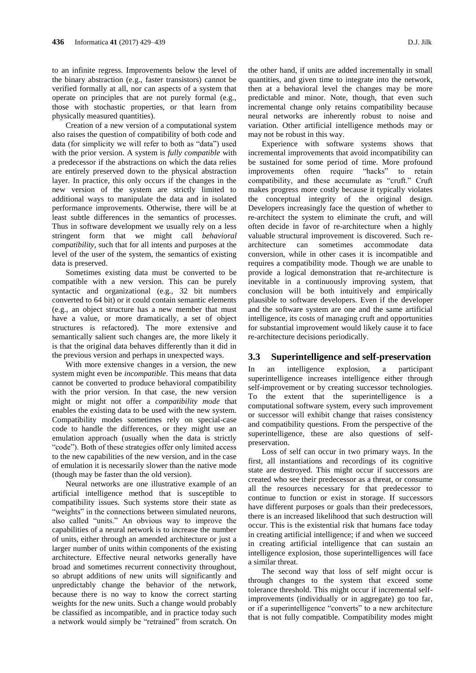to an infinite regress. Improvements below the level of the binary abstraction (e.g., faster transistors) cannot be verified formally at all, nor can aspects of a system that operate on principles that are not purely formal (e.g., those with stochastic properties, or that learn from physically measured quantities).

Creation of a new version of a computational system also raises the question of compatibility of both code and data (for simplicity we will refer to both as "data") used with the prior version. A system is *fully compatible* with a predecessor if the abstractions on which the data relies are entirely preserved down to the physical abstraction layer. In practice, this only occurs if the changes in the new version of the system are strictly limited to additional ways to manipulate the data and in isolated performance improvements. Otherwise, there will be at least subtle differences in the semantics of processes. Thus in software development we usually rely on a less stringent form that we might call *behavioral compatibility*, such that for all intents and purposes at the level of the user of the system, the semantics of existing data is preserved.

Sometimes existing data must be converted to be compatible with a new version. This can be purely syntactic and organizational (e.g., 32 bit numbers converted to 64 bit) or it could contain semantic elements (e.g., an object structure has a new member that must have a value, or more dramatically, a set of object structures is refactored). The more extensive and semantically salient such changes are, the more likely it is that the original data behaves differently than it did in the previous version and perhaps in unexpected ways.

With more extensive changes in a version, the new system might even be *incompatible*. This means that data cannot be converted to produce behavioral compatibility with the prior version. In that case, the new version might or might not offer a *compatibility mode* that enables the existing data to be used with the new system. Compatibility modes sometimes rely on special-case code to handle the differences, or they might use an emulation approach (usually when the data is strictly "code"). Both of these strategies offer only limited access to the new capabilities of the new version, and in the case of emulation it is necessarily slower than the native mode (though may be faster than the old version).

Neural networks are one illustrative example of an artificial intelligence method that is susceptible to compatibility issues. Such systems store their state as "weights" in the connections between simulated neurons, also called "units." An obvious way to improve the capabilities of a neural network is to increase the number of units, either through an amended architecture or just a larger number of units within components of the existing architecture. Effective neural networks generally have broad and sometimes recurrent connectivity throughout, so abrupt additions of new units will significantly and unpredictably change the behavior of the network, because there is no way to know the correct starting weights for the new units. Such a change would probably be classified as incompatible, and in practice today such a network would simply be "retrained" from scratch. On

the other hand, if units are added incrementally in small quantities, and given time to integrate into the network, then at a behavioral level the changes may be more predictable and minor. Note, though, that even such incremental change only retains compatibility because neural networks are inherently robust to noise and variation. Other artificial intelligence methods may or may not be robust in this way.

Experience with software systems shows that incremental improvements that avoid incompatibility can be sustained for some period of time. More profound improvements often require "hacks" to retain compatibility, and these accumulate as "cruft." Cruft makes progress more costly because it typically violates the conceptual integrity of the original design. Developers increasingly face the question of whether to re-architect the system to eliminate the cruft, and will often decide in favor of re-architecture when a highly valuable structural improvement is discovered. Such rearchitecture can sometimes accommodate data conversion, while in other cases it is incompatible and requires a compatibility mode. Though we are unable to provide a logical demonstration that re-architecture is inevitable in a continuously improving system, that conclusion will be both intuitively and empirically plausible to software developers. Even if the developer and the software system are one and the same artificial intelligence, its costs of managing cruft and opportunities for substantial improvement would likely cause it to face re-architecture decisions periodically.

#### **3.3 Superintelligence and self-preservation**

In an intelligence explosion, a participant superintelligence increases intelligence either through self-improvement or by creating successor technologies. To the extent that the superintelligence is a computational software system, every such improvement or successor will exhibit change that raises consistency and compatibility questions. From the perspective of the superintelligence, these are also questions of selfpreservation.

Loss of self can occur in two primary ways. In the first, all instantiations and recordings of its cognitive state are destroyed. This might occur if successors are created who see their predecessor as a threat, or consume all the resources necessary for that predecessor to continue to function or exist in storage. If successors have different purposes or goals than their predecessors, there is an increased likelihood that such destruction will occur. This is the existential risk that humans face today in creating artificial intelligence; if and when we succeed in creating artificial intelligence that can sustain an intelligence explosion, those superintelligences will face a similar threat.

The second way that loss of self might occur is through changes to the system that exceed some tolerance threshold. This might occur if incremental selfimprovements (individually or in aggregate) go too far, or if a superintelligence "converts" to a new architecture that is not fully compatible. Compatibility modes might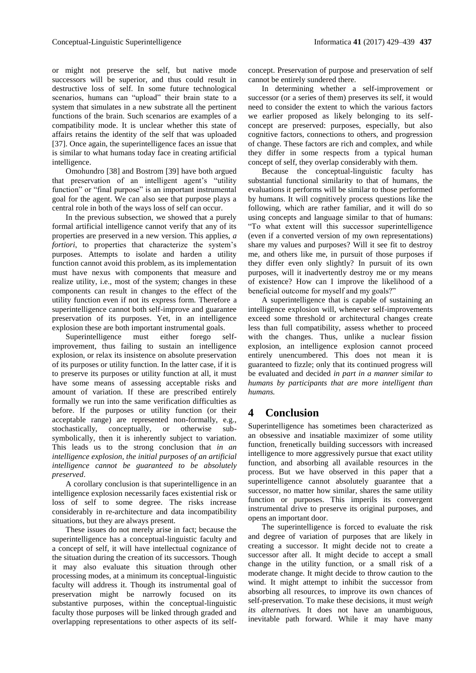or might not preserve the self, but native mode successors will be superior, and thus could result in destructive loss of self. In some future technological scenarios, humans can "upload" their brain state to a system that simulates in a new substrate all the pertinent functions of the brain. Such scenarios are examples of a compatibility mode. It is unclear whether this state of affairs retains the identity of the self that was uploaded [37]. Once again, the superintelligence faces an issue that is similar to what humans today face in creating artificial intelligence.

Omohundro [38] and Bostrom [39] have both argued that preservation of an intelligent agent's "utility function" or "final purpose" is an important instrumental goal for the agent. We can also see that purpose plays a central role in both of the ways loss of self can occur.

In the previous subsection, we showed that a purely formal artificial intelligence cannot verify that any of its properties are preserved in a new version. This applies, *a fortiori*, to properties that characterize the system's purposes. Attempts to isolate and harden a utility function cannot avoid this problem, as its implementation must have nexus with components that measure and realize utility, i.e., most of the system; changes in these components can result in changes to the effect of the utility function even if not its express form. Therefore a superintelligence cannot both self-improve and guarantee preservation of its purposes. Yet, in an intelligence explosion these are both important instrumental goals.

Superintelligence must either forego selfimprovement, thus failing to sustain an intelligence explosion, or relax its insistence on absolute preservation of its purposes or utility function. In the latter case, if it is to preserve its purposes or utility function at all, it must have some means of assessing acceptable risks and amount of variation. If these are prescribed entirely formally we run into the same verification difficulties as before. If the purposes or utility function (or their acceptable range) are represented non-formally, e.g., stochastically, conceptually, or otherwise subsymbolically, then it is inherently subject to variation. This leads us to the strong conclusion that *in an intelligence explosion, the initial purposes of an artificial intelligence cannot be guaranteed to be absolutely preserved*.

A corollary conclusion is that superintelligence in an intelligence explosion necessarily faces existential risk or loss of self to some degree. The risks increase considerably in re-architecture and data incompatibility situations, but they are always present.

These issues do not merely arise in fact; because the superintelligence has a conceptual-linguistic faculty and a concept of self, it will have intellectual cognizance of the situation during the creation of its successors. Though it may also evaluate this situation through other processing modes, at a minimum its conceptual-linguistic faculty will address it. Though its instrumental goal of preservation might be narrowly focused on its substantive purposes, within the conceptual-linguistic faculty those purposes will be linked through graded and overlapping representations to other aspects of its selfconcept. Preservation of purpose and preservation of self cannot be entirely sundered there.

In determining whether a self-improvement or successor (or a series of them) preserves its self, it would need to consider the extent to which the various factors we earlier proposed as likely belonging to its selfconcept are preserved: purposes, especially, but also cognitive factors, connections to others, and progression of change. These factors are rich and complex, and while they differ in some respects from a typical human concept of self, they overlap considerably with them.

Because the conceptual-linguistic faculty has substantial functional similarity to that of humans, the evaluations it performs will be similar to those performed by humans. It will cognitively process questions like the following, which are rather familiar, and it will do so using concepts and language similar to that of humans: "To what extent will this successor superintelligence (even if a converted version of my own representations) share my values and purposes? Will it see fit to destroy me, and others like me, in pursuit of those purposes if they differ even only slightly? In pursuit of its own purposes, will it inadvertently destroy me or my means of existence? How can I improve the likelihood of a beneficial outcome for myself and my goals?"

A superintelligence that is capable of sustaining an intelligence explosion will, whenever self-improvements exceed some threshold or architectural changes create less than full compatibility, assess whether to proceed with the changes. Thus, unlike a nuclear fission explosion, an intelligence explosion cannot proceed entirely unencumbered. This does not mean it is guaranteed to fizzle; only that its continued progress will be evaluated and decided *in part in a manner similar to humans by participants that are more intelligent than humans.*

## **4 Conclusion**

Superintelligence has sometimes been characterized as an obsessive and insatiable maximizer of some utility function, frenetically building successors with increased intelligence to more aggressively pursue that exact utility function, and absorbing all available resources in the process. But we have observed in this paper that a superintelligence cannot absolutely guarantee that a successor, no matter how similar, shares the same utility function or purposes. This imperils its convergent instrumental drive to preserve its original purposes, and opens an important door.

The superintelligence is forced to evaluate the risk and degree of variation of purposes that are likely in creating a successor. It might decide not to create a successor after all. It might decide to accept a small change in the utility function, or a small risk of a moderate change. It might decide to throw caution to the wind. It might attempt to inhibit the successor from absorbing all resources, to improve its own chances of self-preservation. To make these decisions, it must *weigh its alternatives.* It does not have an unambiguous, inevitable path forward. While it may have many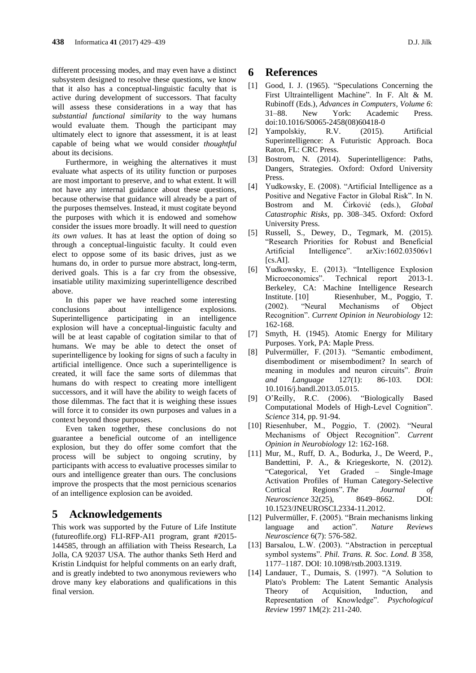different processing modes, and may even have a distinct subsystem designed to resolve these questions, we know that it also has a conceptual-linguistic faculty that is active during development of successors. That faculty will assess these considerations in a way that has *substantial functional similarity* to the way humans would evaluate them. Though the participant may ultimately elect to ignore that assessment, it is at least capable of being what we would consider *thoughtful* about its decisions.

Furthermore, in weighing the alternatives it must evaluate what aspects of its utility function or purposes are most important to preserve, and to what extent. It will not have any internal guidance about these questions, because otherwise that guidance will already be a part of the purposes themselves. Instead, it must cogitate beyond the purposes with which it is endowed and somehow consider the issues more broadly. It will need to *question its own values*. It has at least the option of doing so through a conceptual-linguistic faculty. It could even elect to oppose some of its basic drives, just as we humans do, in order to pursue more abstract, long-term, derived goals. This is a far cry from the obsessive, insatiable utility maximizing superintelligence described above.

In this paper we have reached some interesting conclusions about intelligence explosions. Superintelligence participating in an intelligence explosion will have a conceptual-linguistic faculty and will be at least capable of cogitation similar to that of humans. We may be able to detect the onset of superintelligence by looking for signs of such a faculty in artificial intelligence. Once such a superintelligence is created, it will face the same sorts of dilemmas that humans do with respect to creating more intelligent successors, and it will have the ability to weigh facets of those dilemmas. The fact that it is weighing these issues will force it to consider its own purposes and values in a context beyond those purposes.

Even taken together, these conclusions do not guarantee a beneficial outcome of an intelligence explosion, but they do offer some comfort that the process will be subject to ongoing scrutiny, by participants with access to evaluative processes similar to ours and intelligence greater than ours. The conclusions improve the prospects that the most pernicious scenarios of an intelligence explosion can be avoided.

### **5 Acknowledgements**

This work was supported by the Future of Life Institute (futureoflife.org) FLI-RFP-AI1 program, grant #2015- 144585, through an affiliation with Theiss Research, La Jolla, CA 92037 USA. The author thanks Seth Herd and Kristin Lindquist for helpful comments on an early draft, and is greatly indebted to two anonymous reviewers who drove many key elaborations and qualifications in this final version.

#### **6 References**

- [1] Good, I. J. (1965). "Speculations Concerning the First Ultraintelligent Machine". In F. Alt & M. Rubinoff (Eds.), *Advances in Computers, Volume 6*: 31–88. New York: Academic Press. doi:10.1016/S0065-2458(08)60418-0
- [2] Yampolskiy, R.V. (2015). Artificial Superintelligence: A Futuristic Approach. Boca Raton, FL: CRC Press.
- [3] Bostrom, N. (2014). Superintelligence: Paths, Dangers, Strategies. Oxford: Oxford University **Press**
- [4] Yudkowsky, E. (2008). "Artificial Intelligence as a Positive and Negative Factor in Global Risk". In N. Bostrom and M. Ćirković (eds.), *Global Catastrophic Risks*, pp. 308–345. Oxford: Oxford University Press.
- [5] Russell, S., Dewey, D., Tegmark, M. (2015). "Research Priorities for Robust and Beneficial Artificial Intelligence". arXiv:1602.03506v1 [cs.AI].
- [6] Yudkowsky, E. (2013). "Intelligence Explosion Microeconomics". Technical report 2013-1. Berkeley, CA: Machine Intelligence Research Institute. [10] Riesenhuber, M., Poggio, T. (2002). "Neural Mechanisms of Object Recognition". *Current Opinion in Neurobiology* 12: 162-168.
- [7] Smyth, H. (1945). Atomic Energy for Military Purposes. York, PA: Maple Press.
- [8] Pulvermüller, F. (2013). "Semantic embodiment, disembodiment or misembodiment? In search of meaning in modules and neuron circuits". *Brain and Language* 127(1): 86-103. DOI: 10.1016/j.bandl.2013.05.015.
- [9] O'Reilly, R.C. (2006). "Biologically Based Computational Models of High-Level Cognition". *Science* 314*,* pp. 91-94.
- [10] Riesenhuber, M., Poggio, T. (2002). "Neural Mechanisms of Object Recognition". *Current Opinion in Neurobiology* 12: 162-168.
- [11] Mur, M., Ruff, D. A., Bodurka, J., De Weerd, P., Bandettini, P. A., & Kriegeskorte, N. (2012). "Categorical, Yet Graded – Single-Image Activation Profiles of Human Category-Selective Cortical Regions". *The Journal of Neuroscience* 32(25), 8649–8662. DOI: 10.1523/JNEUROSCI.2334-11.2012.
- [12] Pulvermüller, F. (2005). "Brain mechanisms linking language and action". *Nature Reviews Neuroscience* 6(7): 576-582.
- [13] Barsalou, L.W. (2003). "Abstraction in perceptual symbol systems". *Phil. Trans. R. Soc. Lond. B* 358, 1177–1187. DOI: 10.1098/rstb.2003.1319.
- [14] Landauer, T., Dumais, S. (1997). "A Solution to Plato's Problem: The Latent Semantic Analysis Theory of Acquisition, Induction, and Representation of Knowledge". *Psychological Review* 1997 1M(2): 211-240.